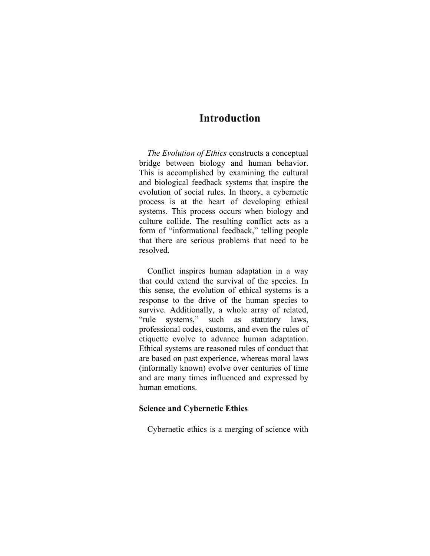## **Introduction**

 *The Evolution of Ethics* constructs a conceptual bridge between biology and human behavior. This is accomplished by examining the cultural and biological feedback systems that inspire the evolution of social rules. In theory, a cybernetic process is at the heart of developing ethical systems. This process occurs when biology and culture collide. The resulting conflict acts as a form of "informational feedback," telling people that there are serious problems that need to be resolved.

 Conflict inspires human adaptation in a way that could extend the survival of the species. In this sense, the evolution of ethical systems is a response to the drive of the human species to survive. Additionally, a whole array of related, "rule systems," such as statutory laws, professional codes, customs, and even the rules of etiquette evolve to advance human adaptation. Ethical systems are reasoned rules of conduct that are based on past experience, whereas moral laws (informally known) evolve over centuries of time and are many times influenced and expressed by human emotions.

## **Science and Cybernetic Ethics**

Cybernetic ethics is a merging of science with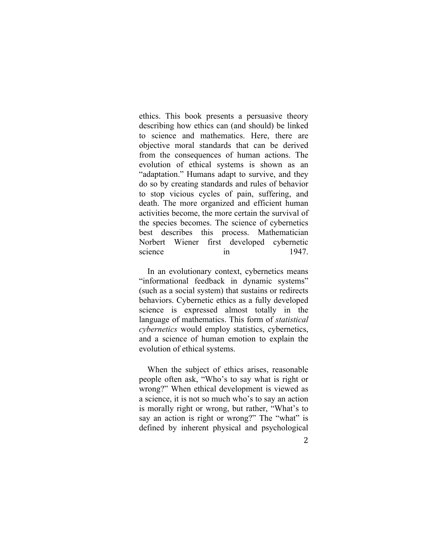ethics. This book presents a persuasive theory describing how ethics can (and should) be linked to science and mathematics. Here, there are objective moral standards that can be derived from the consequences of human actions. The evolution of ethical systems is shown as an "adaptation." Humans adapt to survive, and they do so by creating standards and rules of behavior to stop vicious cycles of pain, suffering, and death. The more organized and efficient human activities become, the more certain the survival of the species becomes. The science of cybernetics best describes this process. Mathematician Norbert Wiener first developed cybernetic science in 1947.

 In an evolutionary context, cybernetics means "informational feedback in dynamic systems" (such as a social system) that sustains or redirects behaviors. Cybernetic ethics as a fully developed science is expressed almost totally in the language of mathematics. This form of *statistical cybernetics* would employ statistics, cybernetics, and a science of human emotion to explain the evolution of ethical systems.

 When the subject of ethics arises, reasonable people often ask, "Who's to say what is right or wrong?" When ethical development is viewed as a science, it is not so much who's to say an action is morally right or wrong, but rather, "What's to say an action is right or wrong?" The "what" is defined by inherent physical and psychological

 $\mathcal{P}$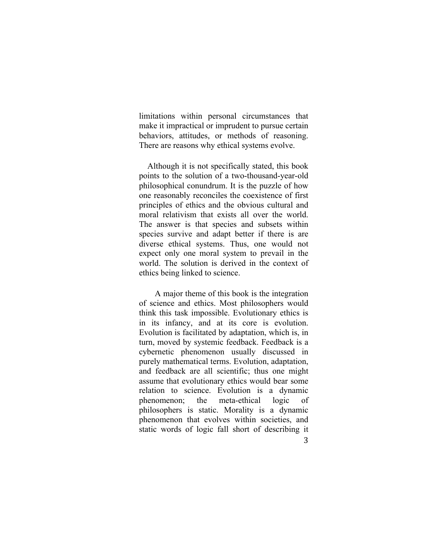limitations within personal circumstances that make it impractical or imprudent to pursue certain behaviors, attitudes, or methods of reasoning. There are reasons why ethical systems evolve.

 Although it is not specifically stated, this book points to the solution of a two-thousand-year-old philosophical conundrum. It is the puzzle of how one reasonably reconciles the coexistence of first principles of ethics and the obvious cultural and moral relativism that exists all over the world. The answer is that species and subsets within species survive and adapt better if there is are diverse ethical systems. Thus, one would not expect only one moral system to prevail in the world. The solution is derived in the context of ethics being linked to science.

3 A major theme of this book is the integration of science and ethics. Most philosophers would think this task impossible. Evolutionary ethics is in its infancy, and at its core is evolution. Evolution is facilitated by adaptation, which is, in turn, moved by systemic feedback. Feedback is a cybernetic phenomenon usually discussed in purely mathematical terms. Evolution, adaptation, and feedback are all scientific; thus one might assume that evolutionary ethics would bear some relation to science. Evolution is a dynamic phenomenon; the meta-ethical logic of philosophers is static. Morality is a dynamic phenomenon that evolves within societies, and static words of logic fall short of describing it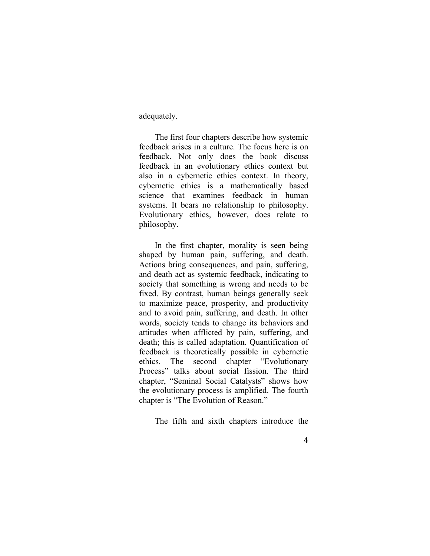adequately.

The first four chapters describe how systemic feedback arises in a culture. The focus here is on feedback. Not only does the book discuss feedback in an evolutionary ethics context but also in a cybernetic ethics context. In theory, cybernetic ethics is a mathematically based science that examines feedback in human systems. It bears no relationship to philosophy. Evolutionary ethics, however, does relate to philosophy.

In the first chapter, morality is seen being shaped by human pain, suffering, and death. Actions bring consequences, and pain, suffering, and death act as systemic feedback, indicating to society that something is wrong and needs to be fixed. By contrast, human beings generally seek to maximize peace, prosperity, and productivity and to avoid pain, suffering, and death. In other words, society tends to change its behaviors and attitudes when afflicted by pain, suffering, and death; this is called adaptation. Quantification of feedback is theoretically possible in cybernetic ethics. The second chapter "Evolutionary Process" talks about social fission. The third chapter, "Seminal Social Catalysts" shows how the evolutionary process is amplified. The fourth chapter is "The Evolution of Reason."

The fifth and sixth chapters introduce the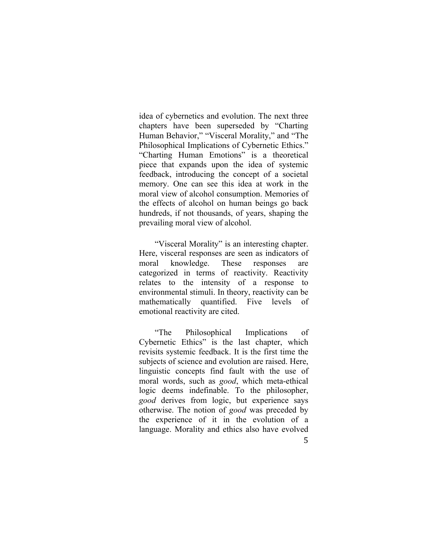idea of cybernetics and evolution. The next three chapters have been superseded by "Charting Human Behavior," "Visceral Morality," and "The Philosophical Implications of Cybernetic Ethics." "Charting Human Emotions" is a theoretical piece that expands upon the idea of systemic feedback, introducing the concept of a societal memory. One can see this idea at work in the moral view of alcohol consumption. Memories of the effects of alcohol on human beings go back hundreds, if not thousands, of years, shaping the prevailing moral view of alcohol.

"Visceral Morality" is an interesting chapter. Here, visceral responses are seen as indicators of moral knowledge. These responses are categorized in terms of reactivity. Reactivity relates to the intensity of a response to environmental stimuli. In theory, reactivity can be mathematically quantified. Five levels of emotional reactivity are cited.

"The Philosophical Implications of Cybernetic Ethics" is the last chapter, which revisits systemic feedback. It is the first time the subjects of science and evolution are raised. Here, linguistic concepts find fault with the use of moral words, such as *good*, which meta-ethical logic deems indefinable. To the philosopher, *good* derives from logic, but experience says otherwise. The notion of *good* was preceded by the experience of it in the evolution of a language. Morality and ethics also have evolved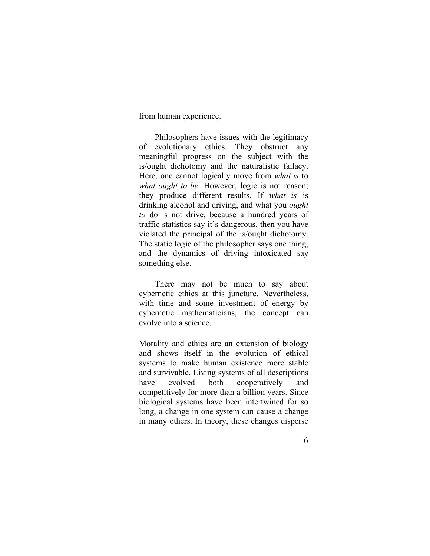from human experience.

Philosophers have issues with the legitimacy of evolutionary ethics. They obstruct any meaningful progress on the subject with the is/ought dichotomy and the naturalistic fallacy. Here, one cannot logically move from *what is* to *what ought to be*. However, logic is not reason; they produce different results. If *what is* is drinking alcohol and driving, and what you *ought to* do is not drive, because a hundred years of traffic statistics say it's dangerous, then you have violated the principal of the is/ought dichotomy. The static logic of the philosopher says one thing, and the dynamics of driving intoxicated say something else.

There may not be much to say about cybernetic ethics at this juncture. Nevertheless, with time and some investment of energy by cybernetic mathematicians, the concept can evolve into a science.

Morality and ethics are an extension of biology and shows itself in the evolution of ethical systems to make human existence more stable and survivable. Living systems of all descriptions have evolved both cooperatively and competitively for more than a billion years. Since biological systems have been intertwined for so long, a change in one system can cause a change in many others. In theory, these changes disperse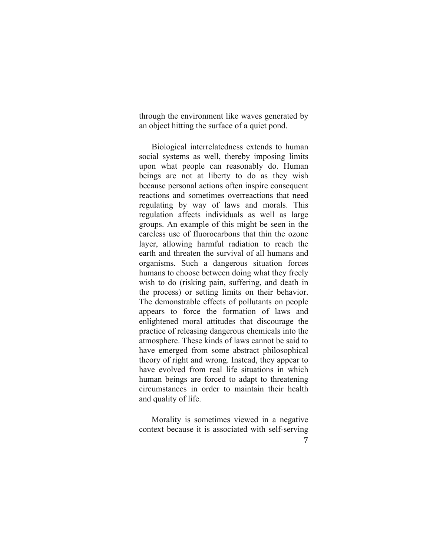through the environment like waves generated by an object hitting the surface of a quiet pond.

Biological interrelatedness extends to human social systems as well, thereby imposing limits upon what people can reasonably do. Human beings are not at liberty to do as they wish because personal actions often inspire consequent reactions and sometimes overreactions that need regulating by way of laws and morals. This regulation affects individuals as well as large groups. An example of this might be seen in the careless use of fluorocarbons that thin the ozone layer, allowing harmful radiation to reach the earth and threaten the survival of all humans and organisms. Such a dangerous situation forces humans to choose between doing what they freely wish to do (risking pain, suffering, and death in the process) or setting limits on their behavior. The demonstrable effects of pollutants on people appears to force the formation of laws and enlightened moral attitudes that discourage the practice of releasing dangerous chemicals into the atmosphere. These kinds of laws cannot be said to have emerged from some abstract philosophical theory of right and wrong. Instead, they appear to have evolved from real life situations in which human beings are forced to adapt to threatening circumstances in order to maintain their health and quality of life.

7 Morality is sometimes viewed in a negative context because it is associated with self-serving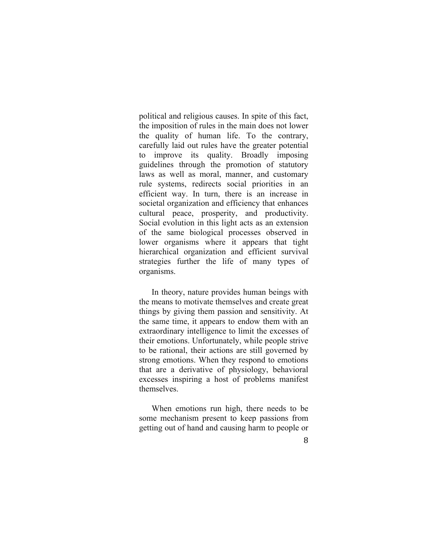political and religious causes. In spite of this fact, the imposition of rules in the main does not lower the quality of human life. To the contrary, carefully laid out rules have the greater potential to improve its quality. Broadly imposing guidelines through the promotion of statutory laws as well as moral, manner, and customary rule systems, redirects social priorities in an efficient way. In turn, there is an increase in societal organization and efficiency that enhances cultural peace, prosperity, and productivity. Social evolution in this light acts as an extension of the same biological processes observed in lower organisms where it appears that tight hierarchical organization and efficient survival strategies further the life of many types of organisms.

In theory, nature provides human beings with the means to motivate themselves and create great things by giving them passion and sensitivity. At the same time, it appears to endow them with an extraordinary intelligence to limit the excesses of their emotions. Unfortunately, while people strive to be rational, their actions are still governed by strong emotions. When they respond to emotions that are a derivative of physiology, behavioral excesses inspiring a host of problems manifest themselves.

When emotions run high, there needs to be some mechanism present to keep passions from getting out of hand and causing harm to people or